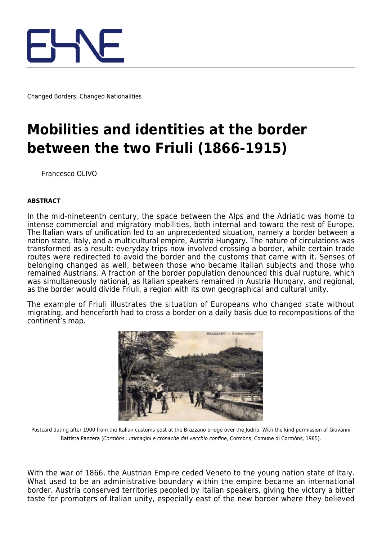

Changed Borders, Changed Nationalities

# **Mobilities and identities at the border between the two Friuli (1866-1915)**

Francesco OLIVO

#### **ABSTRACT**

In the mid-nineteenth century, the space between the Alps and the Adriatic was home to intense commercial and migratory mobilities, both internal and toward the rest of Europe. The Italian wars of unification led to an unprecedented situation, namely a border between a nation state, Italy, and a multicultural empire, Austria Hungary. The nature of circulations was transformed as a result: everyday trips now involved crossing a border, while certain trade routes were redirected to avoid the border and the customs that came with it. Senses of belonging changed as well, between those who became Italian subjects and those who remained Austrians. A fraction of the border population denounced this dual rupture, which was simultaneously national, as Italian speakers remained in Austria Hungary, and regional, as the border would divide Friuli, a region with its own geographical and cultural unity.

The example of Friuli illustrates the situation of Europeans who changed state without migrating, and henceforth had to cross a border on a daily basis due to recompositions of the continent's map.



Postcard dating after 1900 from the Italian customs post at the Brazzano bridge over the Judrio. With the kind permission of Giovanni Battista Panzera (Cormòns : immagini e cronache dal vecchio confine, Cormòns, Comune di Cormòns, 1985).

With the war of 1866, the Austrian Empire ceded Veneto to the young nation state of Italy. What used to be an administrative boundary within the empire became an international border. Austria conserved territories peopled by Italian speakers, giving the victory a bitter taste for promoters of Italian unity, especially east of the new border where they believed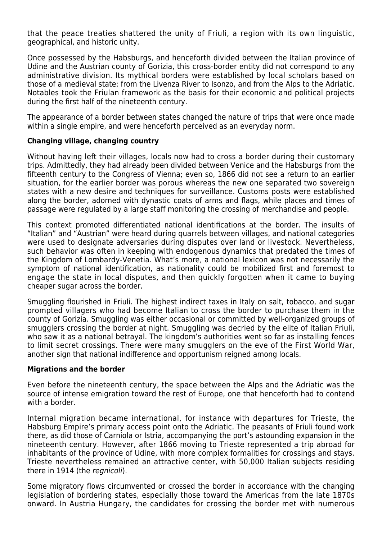that the peace treaties shattered the unity of Friuli, a region with its own linguistic, geographical, and historic unity.

Once possessed by the Habsburgs, and henceforth divided between the Italian province of Udine and the Austrian county of Gorizia, this cross-border entity did not correspond to any administrative division. Its mythical borders were established by local scholars based on those of a medieval state: from the Livenza River to Isonzo, and from the Alps to the Adriatic. Notables took the Friulan framework as the basis for their economic and political projects during the first half of the nineteenth century.

The appearance of a border between states changed the nature of trips that were once made within a single empire, and were henceforth perceived as an everyday norm.

## **Changing village, changing country**

Without having left their villages, locals now had to cross a border during their customary trips. Admittedly, they had already been divided between Venice and the Habsburgs from the fifteenth century to the Congress of Vienna; even so, 1866 did not see a return to an earlier situation, for the earlier border was porous whereas the new one separated two sovereign states with a new desire and techniques for surveillance. Customs posts were established along the border, adorned with dynastic coats of arms and flags, while places and times of passage were regulated by a large staff monitoring the crossing of merchandise and people.

This context promoted differentiated national identifications at the border. The insults of "Italian" and "Austrian" were heard during quarrels between villages, and national categories were used to designate adversaries during disputes over land or livestock. Nevertheless, such behavior was often in keeping with endogenous dynamics that predated the times of the Kingdom of Lombardy-Venetia. What's more, a national lexicon was not necessarily the symptom of national identification, as nationality could be mobilized first and foremost to engage the state in local disputes, and then quickly forgotten when it came to buying cheaper sugar across the border.

Smuggling flourished in Friuli. The highest indirect taxes in Italy on salt, tobacco, and sugar prompted villagers who had become Italian to cross the border to purchase them in the county of Gorizia. Smuggling was either occasional or committed by well-organized groups of smugglers crossing the border at night. Smuggling was decried by the elite of Italian Friuli, who saw it as a national betrayal. The kingdom's authorities went so far as installing fences to limit secret crossings. There were many smugglers on the eve of the First World War, another sign that national indifference and opportunism reigned among locals.

### **Migrations and the border**

Even before the nineteenth century, the space between the Alps and the Adriatic was the source of intense emigration toward the rest of Europe, one that henceforth had to contend with a border.

Internal migration became international, for instance with departures for Trieste, the Habsburg Empire's primary access point onto the Adriatic. The peasants of Friuli found work there, as did those of Carniola or Istria, accompanying the port's astounding expansion in the nineteenth century. However, after 1866 moving to Trieste represented a trip abroad for inhabitants of the province of Udine, with more complex formalities for crossings and stays. Trieste nevertheless remained an attractive center, with 50,000 Italian subjects residing there in 1914 (the regnicoli).

Some migratory flows circumvented or crossed the border in accordance with the changing legislation of bordering states, especially those toward the Americas from the late 1870s onward. In Austria Hungary, the candidates for crossing the border met with numerous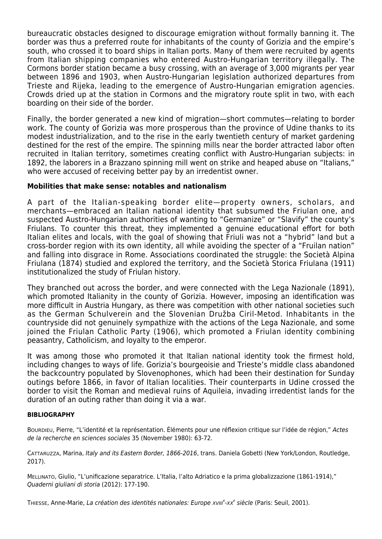bureaucratic obstacles designed to discourage emigration without formally banning it. The border was thus a preferred route for inhabitants of the county of Gorizia and the empire's south, who crossed it to board ships in Italian ports. Many of them were recruited by agents from Italian shipping companies who entered Austro-Hungarian territory illegally. The Cormons border station became a busy crossing, with an average of 3,000 migrants per year between 1896 and 1903, when Austro-Hungarian legislation authorized departures from Trieste and Rijeka, leading to the emergence of Austro-Hungarian emigration agencies. Crowds dried up at the station in Cormons and the migratory route split in two, with each boarding on their side of the border.

Finally, the border generated a new kind of migration—short commutes—relating to border work. The county of Gorizia was more prosperous than the province of Udine thanks to its modest industrialization, and to the rise in the early twentieth century of market gardening destined for the rest of the empire. The spinning mills near the border attracted labor often recruited in Italian territory, sometimes creating conflict with Austro-Hungarian subjects: in 1892, the laborers in a Brazzano spinning mill went on strike and heaped abuse on "Italians," who were accused of receiving better pay by an irredentist owner.

# **Mobilities that make sense: notables and nationalism**

A part of the Italian-speaking border elite—property owners, scholars, and merchants—embraced an Italian national identity that subsumed the Friulan one, and suspected Austro-Hungarian authorities of wanting to "Germanize" or "Slavify" the county's Friulans. To counter this threat, they implemented a genuine educational effort for both Italian elites and locals, with the goal of showing that Friuli was not a "hybrid" land but a cross-border region with its own identity, all while avoiding the specter of a "Fruilan nation" and falling into disgrace in Rome. Associations coordinated the struggle: the Società Alpina Friulana (1874) studied and explored the territory, and the Società Storica Friulana (1911) institutionalized the study of Friulan history.

They branched out across the border, and were connected with the Lega Nazionale (1891), which promoted Italianity in the county of Gorizia. However, imposing an identification was more difficult in Austria Hungary, as there was competition with other national societies such as the German Schulverein and the Slovenian Družba Ciril-Metod. Inhabitants in the countryside did not genuinely sympathize with the actions of the Lega Nazionale, and some joined the Friulan Catholic Party (1906), which promoted a Friulan identity combining peasantry, Catholicism, and loyalty to the emperor.

It was among those who promoted it that Italian national identity took the firmest hold, including changes to ways of life. Gorizia's bourgeoisie and Trieste's middle class abandoned the backcountry populated by Slovenophones, which had been their destination for Sunday outings before 1866, in favor of Italian localities. Their counterparts in Udine crossed the border to visit the Roman and medieval ruins of Aquileia, invading irredentist lands for the duration of an outing rather than doing it via a war.

#### **BIBLIOGRAPHY**

BOURDIEU, Pierre, "L'identité et la représentation. Éléments pour une réflexion critique sur l'idée de région," Actes de la recherche en sciences sociales 35 (November 1980): 63-72.

CATTARUZZA, Marina, Italy and its Eastern Border, 1866-2016, trans. Daniela Gobetti (New York/London, Routledge, 2017).

MELLINATO, Giulio, "L'unificazione separatrice. L'Italia, l'alto Adriatico e la prima globalizzazione (1861-1914)," Quaderni giuliani di storia (2012): 177‑190.

THIESSE, Anne-Marie, La création des identités nationales: Europe xvIII<sup>e</sup>-xx<sup>e</sup> siècle (Paris: Seuil, 2001).